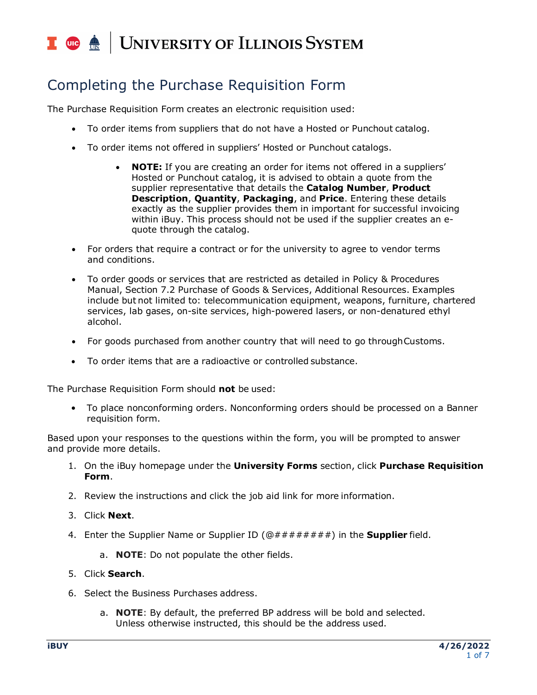### $\frac{1}{\sqrt{10}}$  or  $\frac{1}{\sqrt{10}}$ | UNIVERSITY OF ILLINOIS SYSTEM

# Completing the Purchase Requisition Form

The Purchase Requisition Form creates an electronic requisition used:

- To order items from suppliers that do not have a Hosted or Punchout catalog.
- To order items not offered in suppliers' Hosted or Punchout catalogs.
	- **NOTE:** If you are creating an order for items not offered in a suppliers' Hosted or Punchout catalog, it is advised to obtain a quote from the supplier representative that details the **Catalog Number**, **Product Description**, **Quantity**, **Packaging**, and **Price**. Entering these details exactly as the supplier provides them in important for successful invoicing within iBuy. This process should not be used if the supplier creates an equote through the catalog.
- For orders that require a contract or for the university to agree to vendor terms and conditions.
- To order goods or services that are restricted as detailed in Policy & Procedures Manual, Section 7.2 Purchase of Goods & Services, Additional Resources. Examples include but not limited to: telecommunication equipment, weapons, furniture, chartered services, lab gases, on-site services, high-powered lasers, or non-denatured ethyl alcohol.
- For goods purchased from another country that will need to go throughCustoms.
- To order items that are a radioactive or controlled substance.

The Purchase Requisition Form should **not** be used:

• To place nonconforming orders. Nonconforming orders should be processed on a Banner requisition form.

Based upon your responses to the questions within the form, you will be prompted to answer and provide more details.

- 1. On the iBuy homepage under the **University Forms** section, click **Purchase Requisition Form**.
- 2. Review the instructions and click the job aid link for more information.
- 3. Click **Next**.
- 4. Enter the Supplier Name or Supplier ID (@########) in the **Supplier** field.
	- a. **NOTE**: Do not populate the other fields.
- 5. Click **Search**.
- 6. Select the Business Purchases address.
	- a. **NOTE**: By default, the preferred BP address will be bold and selected. Unless otherwise instructed, this should be the address used.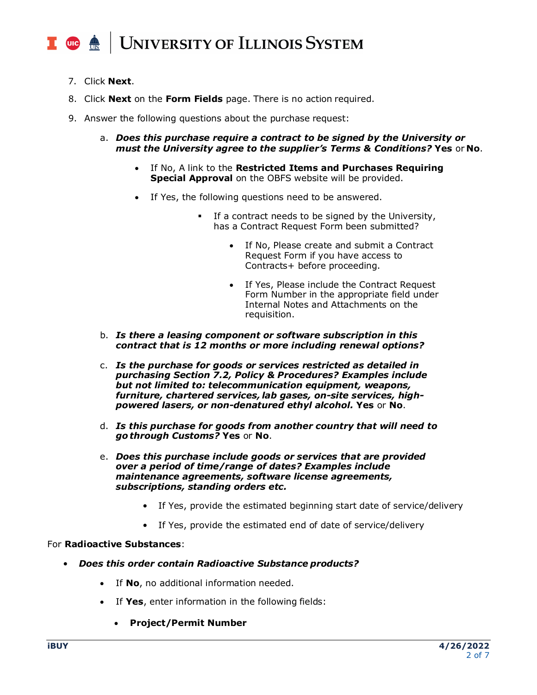### **UNIVERSITY OF ILLINOIS SYSTEM**  $\overline{C}$  or  $\overline{C}$

- 7. Click **Next**.
- 8. Click **Next** on the **Form Fields** page. There is no action required.
- 9. Answer the following questions about the purchase request:
	- a. *Does this purchase require a contract to be signed by the University or must the University agree to the supplier's Terms & Conditions?* **Yes** or **No**.
		- If No, A link to the **Restricted Items and Purchases Requiring Special Approval** on the OBFS website will be provided.
		- If Yes, the following questions need to be answered.
			- If a contract needs to be signed by the University, has a Contract Request Form been submitted?
				- If No, Please create and submit a Contract Request Form if you have access to Contracts+ before proceeding.
				- If Yes, Please include the Contract Request Form Number in the appropriate field under Internal Notes and Attachments on the requisition.
	- b. *Is there a leasing component or software subscription in this contract that is 12 months or more including renewal options?*
	- c. *Is the purchase for goods or services restricted as detailed in purchasing Section 7.2, Policy & Procedures? Examples include but not limited to: telecommunication equipment, weapons,*  furniture, chartered services, lab gases, on-site services, high*powered lasers, or non-denatured ethyl alcohol.* **Yes** or **No**.
	- d. *Is this purchase for goods from another country that will need to go through Customs?* **Yes** or **No**.
	- e. *Does this purchase include goods or services that are provided over a period of time/range of dates? Examples include maintenance agreements, software license agreements, subscriptions, standing orders etc.*
		- If Yes, provide the estimated beginning start date of service/delivery
		- If Yes, provide the estimated end of date of service/delivery

#### For **Radioactive Substances**:

- *Does this order contain Radioactive Substance products?*
	- If **No**, no additional information needed.
	- If **Yes**, enter information in the following fields:
		- **Project/Permit Number**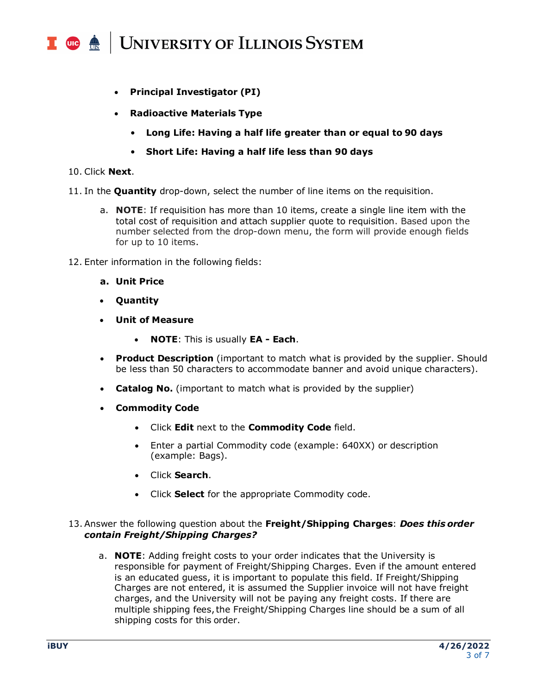#### **UNIVERSITY OF ILLINOIS SYSTEM T** ore  $\bigoplus$

- **Principal Investigator (PI)**
- **Radioactive Materials Type**
	- **Long Life: Having a half life greater than or equal to 90 days**
	- **Short Life: Having a half life less than 90 days**

#### 10. Click **Next**.

- 11. In the **Quantity** drop-down, select the number of line items on the requisition.
	- a. **NOTE**: If requisition has more than 10 items, create a single line item with the total cost of requisition and attach supplier quote to requisition. Based upon the number selected from the drop-down menu, the form will provide enough fields for up to 10 items.
- 12. Enter information in the following fields:
	- **a. Unit Price**
	- **Quantity**
	- **Unit of Measure**
		- **NOTE**: This is usually **EA - Each**.
	- **Product Description** (important to match what is provided by the supplier. Should be less than 50 characters to accommodate banner and avoid unique characters).
	- **Catalog No.** (important to match what is provided by the supplier)
	- **Commodity Code**
		- Click **Edit** next to the **Commodity Code** field.
		- Enter a partial Commodity code (example: 640XX) or description (example: Bags).
		- Click **Search**.
		- Click **Select** for the appropriate Commodity code.

#### 13. Answer the following question about the **Freight/Shipping Charges**: *Does this order contain Freight/Shipping Charges?*

a. **NOTE**: Adding freight costs to your order indicates that the University is responsible for payment of Freight/Shipping Charges. Even if the amount entered is an educated guess, it is important to populate this field. If Freight/Shipping Charges are not entered, it is assumed the Supplier invoice will not have freight charges, and the University will not be paying any freight costs. If there are multiple shipping fees, the Freight/Shipping Charges line should be a sum of all shipping costs for this order.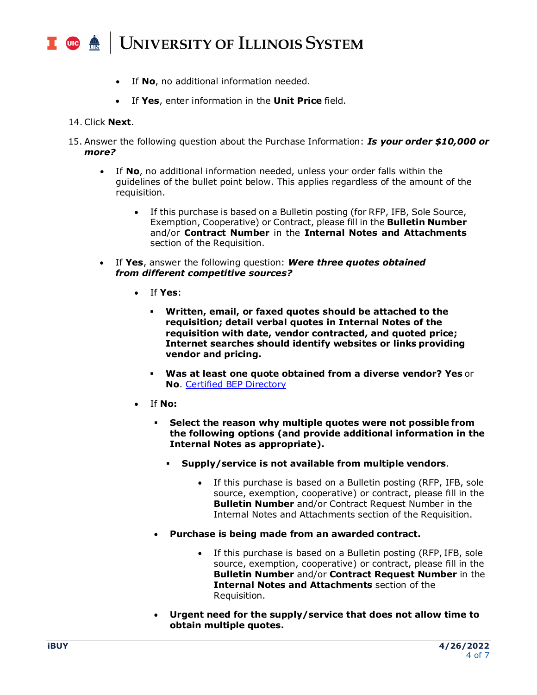#### **UNIVERSITY OF ILLINOIS SYSTEM T** one

- If **No**, no additional information needed.
- If **Yes**, enter information in the **Unit Price** field.

#### 14. Click **Next**.

- 15. Answer the following question about the Purchase Information: *Is your order \$10,000 or more?*
	- If **No**, no additional information needed, unless your order falls within the guidelines of the bullet point below. This applies regardless of the amount of the requisition.
		- If this purchase is based on a Bulletin posting (for RFP, IFB, Sole Source, Exemption, Cooperative) or Contract, please fill in the **Bulletin Number**  and/or **Contract Number** in the **Internal Notes and Attachments**  section of the Requisition.
	- If **Yes**, answer the following question: *Were three quotes obtained from different competitive sources?*
		- If **Yes**:
			- **Written, email, or faxed quotes should be attached to the requisition; detail verbal quotes in Internal Notes of the requisition with date, vendor contracted, and quoted price; Internet searches should identify websites or links providing vendor and pricing.**
			- **Was at least one quote obtained from a diverse vendor? Yes** or **No**. [Certified BEP](https://cms.diversitycompliance.com/) Directory
		- If **No:**
			- **Select the reason why multiple quotes were not possible from the following options (and provide additional information in the Internal Notes as appropriate).**
				- **Supply/service is not available from multiple vendors**.
					- If this purchase is based on a Bulletin posting (RFP, IFB, sole source, exemption, cooperative) or contract, please fill in the **Bulletin Number** and/or Contract Request Number in the Internal Notes and Attachments section of the Requisition.
			- **Purchase is being made from an awarded contract.** 
				- If this purchase is based on a Bulletin posting (RFP, IFB, sole source, exemption, cooperative) or contract, please fill in the **Bulletin Number** and/or **Contract Request Number** in the **Internal Notes and Attachments** section of the Requisition.
			- **Urgent need for the supply/service that does not allow time to obtain multiple quotes.**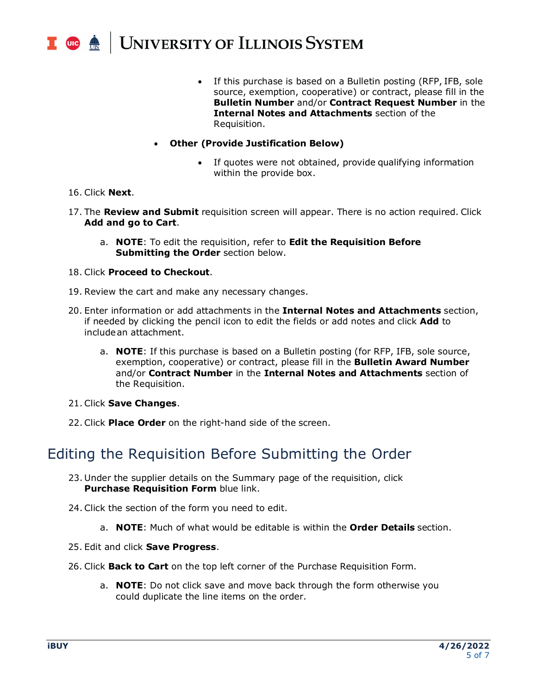

- If this purchase is based on a Bulletin posting (RFP, IFB, sole source, exemption, cooperative) or contract, please fill in the **Bulletin Number** and/or **Contract Request Number** in the **Internal Notes and Attachments** section of the Requisition.
- **Other (Provide Justification Below)**
	- If quotes were not obtained, provide qualifying information within the provide box.
- 16. Click **Next**.
- 17. The **Review and Submit** requisition screen will appear. There is no action required. Click **Add and go to Cart**.
	- a. **NOTE**: To edit the requisition, refer to **Edit the Requisition Before Submitting the Order** section below.
- 18. Click **Proceed to Checkout**.
- 19. Review the cart and make any necessary changes.
- 20. Enter information or add attachments in the **Internal Notes and Attachments** section, if needed by clicking the pencil icon to edit the fields or add notes and click **Add** to includean attachment.
	- a. **NOTE**: If this purchase is based on a Bulletin posting (for RFP, IFB, sole source, exemption, cooperative) or contract, please fill in the **Bulletin Award Number**  and/or **Contract Number** in the **Internal Notes and Attachments** section of the Requisition.
- 21. Click **Save Changes**.
- 22. Click **Place Order** on the right-hand side of the screen.

## Editing the Requisition Before Submitting the Order

- 23. Under the supplier details on the Summary page of the requisition, click **Purchase Requisition Form blue link.**
- 24. Click the section of the form you need to edit.
	- a. **NOTE**: Much of what would be editable is within the **Order Details** section.
- 25. Edit and click **Save Progress**.
- 26. Click **Back to Cart** on the top left corner of the Purchase Requisition Form.
	- a. **NOTE**: Do not click save and move back through the form otherwise you could duplicate the line items on the order.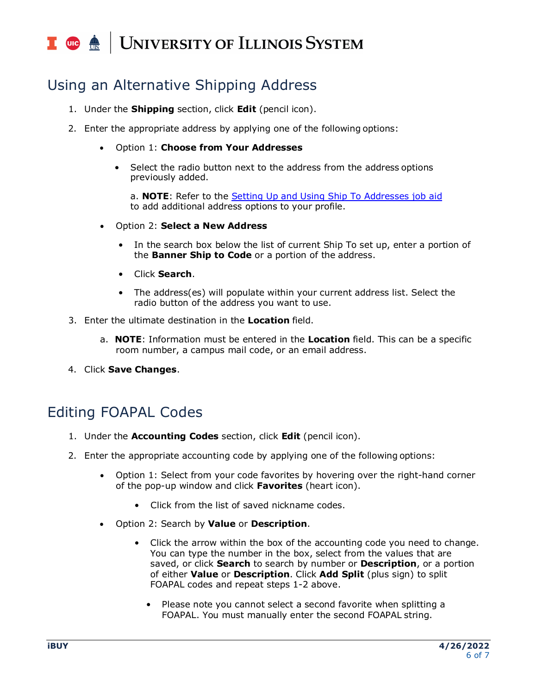### **UNIVERSITY OF ILLINOIS SYSTEM**  $\frac{1}{\sqrt{10}}$  one  $\frac{d\mathbf{A}}{10}$

# Using an Alternative Shipping Address

- 1. Under the **Shipping** section, click **Edit** (pencil icon).
- 2. Enter the appropriate address by applying one of the following options:
	- Option 1: **Choose from Your Addresses**
		- Select the radio button next to the address from the address options previously added.

a. **NOTE**: Refer to the [Setting Up and Using Ship To Addresses job](https://www.obfs.uillinois.edu/training/materials/iBuy/) [aid](https://www.obfs.uillinois.edu/training/materials/iBuy/) to add additional address options to your profile.

- Option 2: **Select a New Address**
	- In the search box below the list of current Ship To set up, enter a portion of the **Banner Ship to Code** or a portion of the address.
	- Click **Search**.
	- The address(es) will populate within your current address list. Select the radio button of the address you want to use.
- 3. Enter the ultimate destination in the **Location** field.
	- a. **NOTE**: Information must be entered in the **Location** field. This can be a specific room number, a campus mail code, or an email address.
- 4. Click **Save Changes**.

# Editing FOAPAL Codes

- 1. Under the **Accounting Codes** section, click **Edit** (pencil icon).
- 2. Enter the appropriate accounting code by applying one of the following options:
	- Option 1: Select from your code favorites by hovering over the right-hand corner of the pop-up window and click **Favorites** (heart icon).
		- Click from the list of saved nickname codes.
	- Option 2: Search by **Value** or **Description**.
		- Click the arrow within the box of the accounting code you need to change. You can type the number in the box, select from the values that are saved, or click **Search** to search by number or **Description**, or a portion of either **Value** or **Description**. Click **Add Split** (plus sign) to split FOAPAL codes and repeat steps 1-2 above.
			- Please note you cannot select a second favorite when splitting a FOAPAL. You must manually enter the second FOAPAL string.